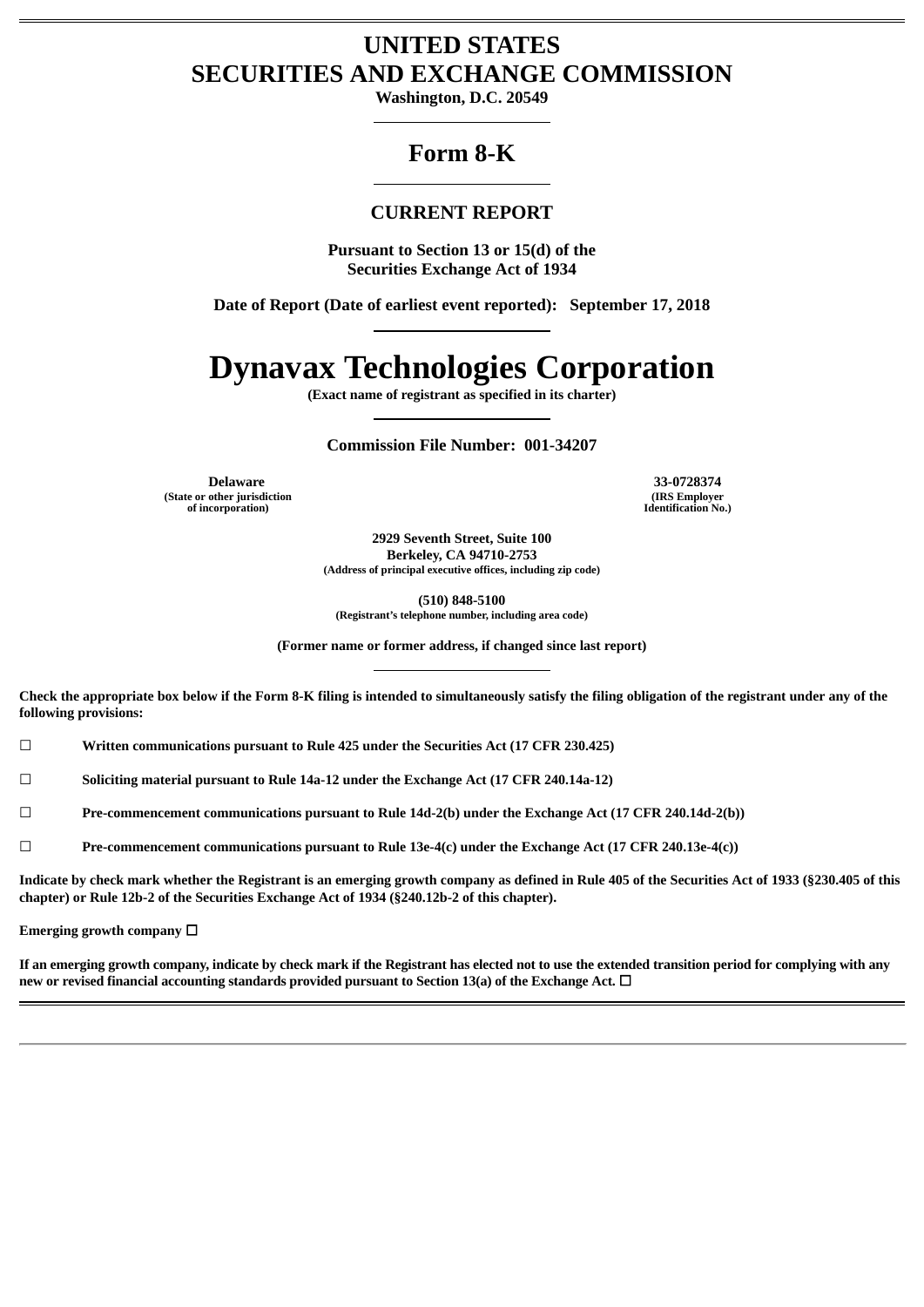# **UNITED STATES SECURITIES AND EXCHANGE COMMISSION**

**Washington, D.C. 20549**

## **Form 8-K**

## **CURRENT REPORT**

**Pursuant to Section 13 or 15(d) of the Securities Exchange Act of 1934**

**Date of Report (Date of earliest event reported): September 17, 2018**

# **Dynavax Technologies Corporation**

**(Exact name of registrant as specified in its charter)**

**Commission File Number: 001-34207**

**(State or other jurisdiction of incorporation)**

**Delaware 33-0728374 (IRS Employer Identification No.)**

> **2929 Seventh Street, Suite 100 Berkeley, CA 94710-2753 (Address of principal executive offices, including zip code)**

**(510) 848-5100 (Registrant's telephone number, including area code)**

**(Former name or former address, if changed since last report)**

Check the appropriate box below if the Form 8-K filing is intended to simultaneously satisfy the filing obligation of the registrant under any of the **following provisions:**

☐ **Written communications pursuant to Rule 425 under the Securities Act (17 CFR 230.425)**

☐ **Soliciting material pursuant to Rule 14a-12 under the Exchange Act (17 CFR 240.14a-12)**

☐ **Pre-commencement communications pursuant to Rule 14d-2(b) under the Exchange Act (17 CFR 240.14d-2(b))**

☐ **Pre-commencement communications pursuant to Rule 13e-4(c) under the Exchange Act (17 CFR 240.13e-4(c))**

Indicate by check mark whether the Registrant is an emerging growth company as defined in Rule 405 of the Securities Act of 1933 (§230.405 of this **chapter) or Rule 12b-2 of the Securities Exchange Act of 1934 (§240.12b-2 of this chapter).**

**Emerging growth company** ☐

If an emerging growth company, indicate by check mark if the Registrant has elected not to use the extended transition period for complying with any **new or revised financial accounting standards provided pursuant to Section 13(a) of the Exchange Act.** ☐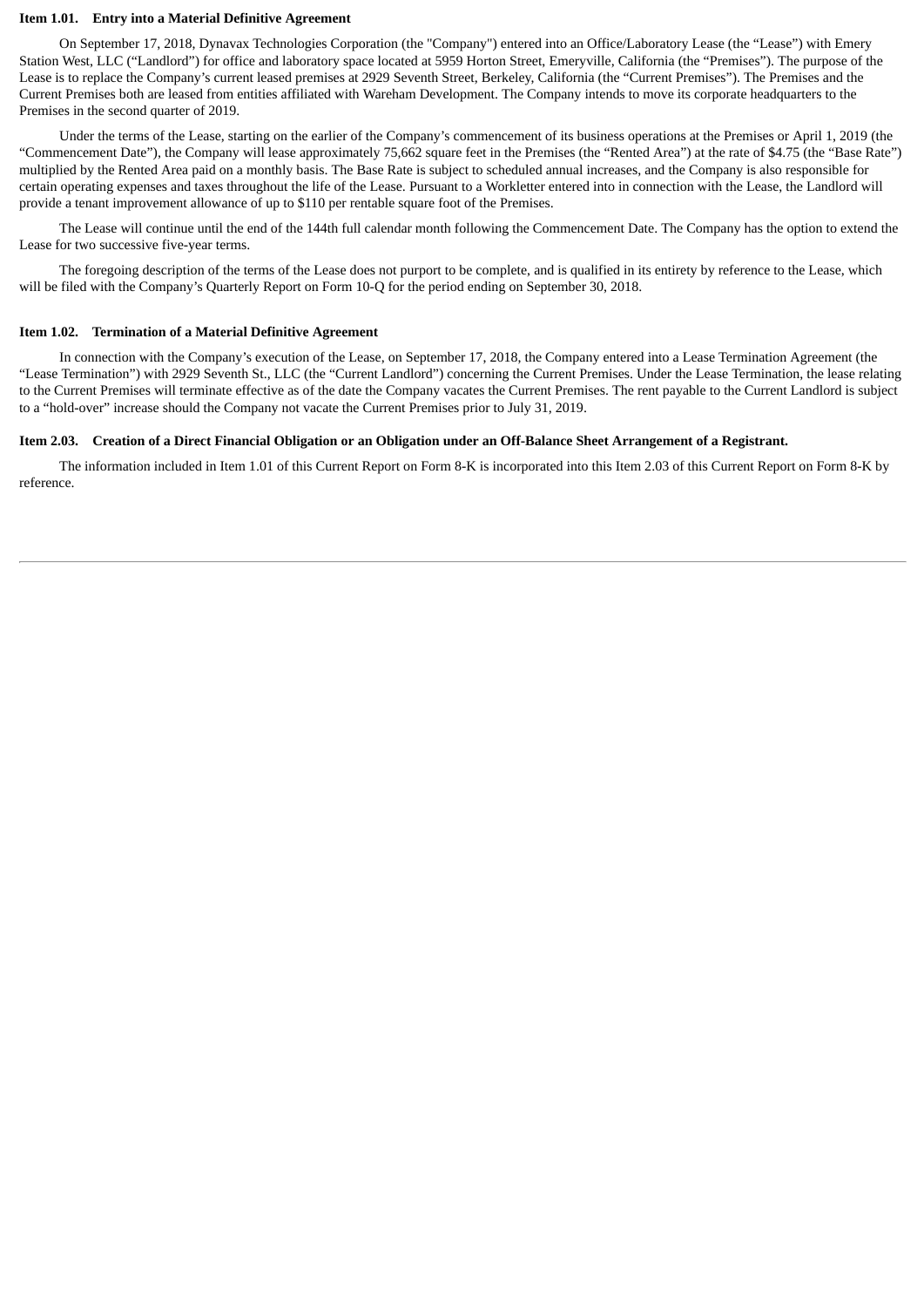#### **Item 1.01. Entry into a Material Definitive Agreement**

On September 17, 2018, Dynavax Technologies Corporation (the "Company") entered into an Office/Laboratory Lease (the "Lease") with Emery Station West, LLC ("Landlord") for office and laboratory space located at 5959 Horton Street, Emeryville, California (the "Premises"). The purpose of the Lease is to replace the Company's current leased premises at 2929 Seventh Street, Berkeley, California (the "Current Premises"). The Premises and the Current Premises both are leased from entities affiliated with Wareham Development. The Company intends to move its corporate headquarters to the Premises in the second quarter of 2019.

Under the terms of the Lease, starting on the earlier of the Company's commencement of its business operations at the Premises or April 1, 2019 (the "Commencement Date"), the Company will lease approximately 75,662 square feet in the Premises (the "Rented Area") at the rate of \$4.75 (the "Base Rate") multiplied by the Rented Area paid on a monthly basis. The Base Rate is subject to scheduled annual increases, and the Company is also responsible for certain operating expenses and taxes throughout the life of the Lease. Pursuant to a Workletter entered into in connection with the Lease, the Landlord will provide a tenant improvement allowance of up to \$110 per rentable square foot of the Premises.

The Lease will continue until the end of the 144th full calendar month following the Commencement Date. The Company has the option to extend the Lease for two successive five-year terms.

The foregoing description of the terms of the Lease does not purport to be complete, and is qualified in its entirety by reference to the Lease, which will be filed with the Company's Quarterly Report on Form 10-Q for the period ending on September 30, 2018.

#### **Item 1.02. Termination of a Material Definitive Agreement**

In connection with the Company's execution of the Lease, on September 17, 2018, the Company entered into a Lease Termination Agreement (the "Lease Termination") with 2929 Seventh St., LLC (the "Current Landlord") concerning the Current Premises. Under the Lease Termination, the lease relating to the Current Premises will terminate effective as of the date the Company vacates the Current Premises. The rent payable to the Current Landlord is subject to a "hold-over" increase should the Company not vacate the Current Premises prior to July 31, 2019.

#### Item 2.03. Creation of a Direct Financial Obligation or an Obligation under an Off-Balance Sheet Arrangement of a Registrant.

The information included in Item 1.01 of this Current Report on Form 8-K is incorporated into this Item 2.03 of this Current Report on Form 8-K by reference.